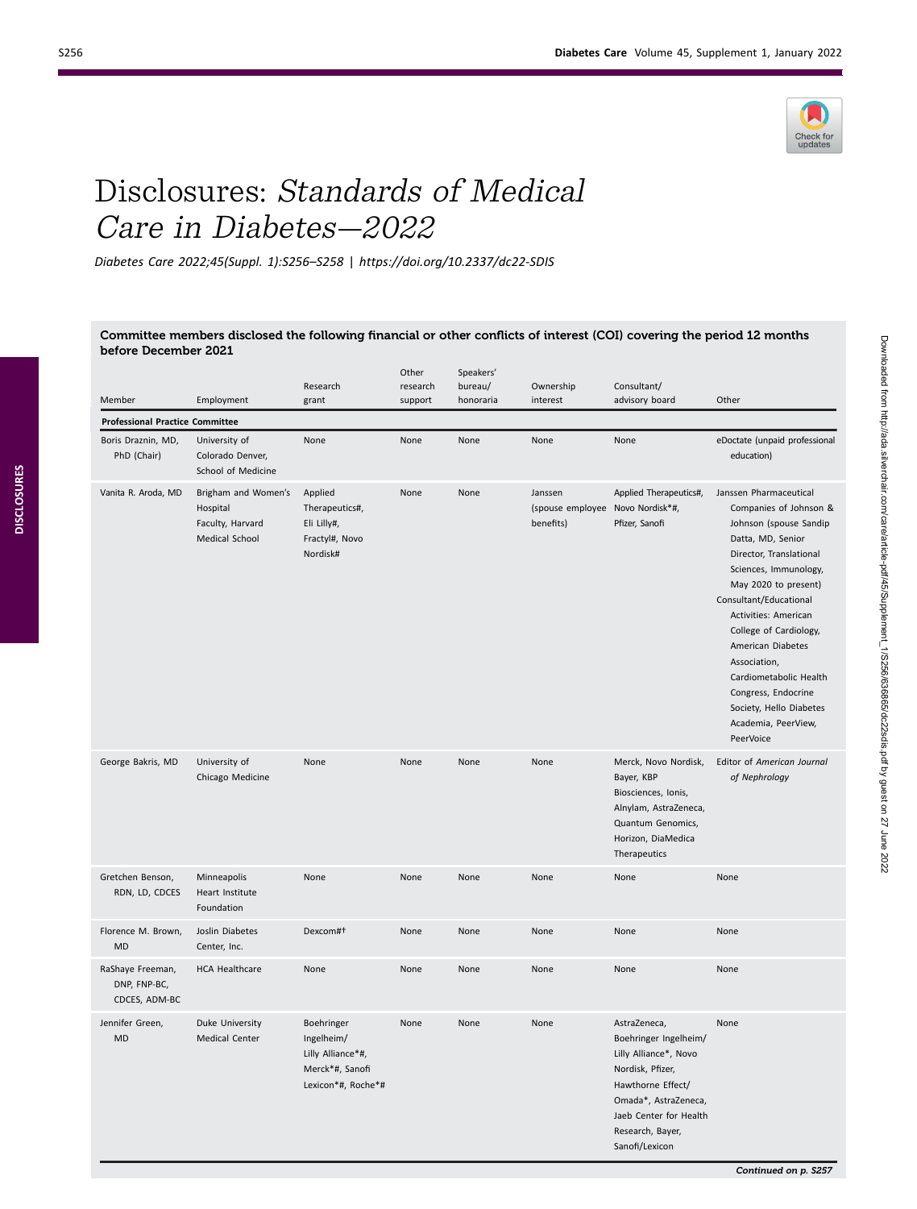

## Disclosures: Standards of Medical Care in Diabetes—2022

Diabetes Care 2022;45(Suppl. 1):S256–S258 | https://doi.org/10.2337/dc22-SDIS

Committee members disclosed the following financial or other conflicts of interest (COI) covering the period 12 months before December 2021

| Member                                            | Employment                                                                   | Research<br>grant                                                                      | Other<br>research<br>support | Speakers'<br>bureau/<br>honoraria | Ownership<br>interest                                    | Consultant/<br>advisory board                                                                                                                                                                   | Other                                                                                                                                                                                                                                                                                                                                                                                                        |
|---------------------------------------------------|------------------------------------------------------------------------------|----------------------------------------------------------------------------------------|------------------------------|-----------------------------------|----------------------------------------------------------|-------------------------------------------------------------------------------------------------------------------------------------------------------------------------------------------------|--------------------------------------------------------------------------------------------------------------------------------------------------------------------------------------------------------------------------------------------------------------------------------------------------------------------------------------------------------------------------------------------------------------|
| <b>Professional Practice Committee</b>            |                                                                              |                                                                                        |                              |                                   |                                                          |                                                                                                                                                                                                 |                                                                                                                                                                                                                                                                                                                                                                                                              |
| Boris Draznin, MD,<br>PhD (Chair)                 | University of<br>Colorado Denver,<br>School of Medicine                      | None                                                                                   | None                         | None                              | None                                                     | None                                                                                                                                                                                            | eDoctate (unpaid professional<br>education)                                                                                                                                                                                                                                                                                                                                                                  |
| Vanita R. Aroda, MD                               | Brigham and Women's<br>Hospital<br>Faculty, Harvard<br><b>Medical School</b> | Applied<br>Therapeutics#,<br>Eli Lilly#,<br>Fractyl#, Novo<br>Nordisk#                 | None                         | None                              | Janssen<br>(spouse employee Novo Nordisk*#,<br>benefits) | Applied Therapeutics#,<br>Pfizer, Sanofi                                                                                                                                                        | Janssen Pharmaceutical<br>Companies of Johnson &<br>Johnson (spouse Sandip<br>Datta, MD, Senior<br>Director, Translational<br>Sciences, Immunology,<br>May 2020 to present)<br>Consultant/Educational<br>Activities: American<br>College of Cardiology,<br>American Diabetes<br>Association,<br>Cardiometabolic Health<br>Congress, Endocrine<br>Society, Hello Diabetes<br>Academia, PeerView,<br>PeerVoice |
| George Bakris, MD                                 | University of<br>Chicago Medicine                                            | None                                                                                   | None                         | None                              | None                                                     | Merck, Novo Nordisk,<br>Bayer, KBP<br>Biosciences, Ionis,<br>Alnylam, AstraZeneca,<br>Quantum Genomics,<br>Horizon, DiaMedica<br>Therapeutics                                                   | Editor of American Journal<br>of Nephrology                                                                                                                                                                                                                                                                                                                                                                  |
| Gretchen Benson,<br>RDN, LD, CDCES                | Minneapolis<br>Heart Institute<br>Foundation                                 | None                                                                                   | None                         | None                              | None                                                     | None                                                                                                                                                                                            | None                                                                                                                                                                                                                                                                                                                                                                                                         |
| Florence M. Brown,<br>MD                          | Joslin Diabetes<br>Center, Inc.                                              | Dexcom# <sup>+</sup>                                                                   | None                         | None                              | None                                                     | None                                                                                                                                                                                            | None                                                                                                                                                                                                                                                                                                                                                                                                         |
| RaShaye Freeman,<br>DNP, FNP-BC,<br>CDCES, ADM-BC | <b>HCA Healthcare</b>                                                        | None                                                                                   | None                         | None                              | None                                                     | None                                                                                                                                                                                            | None                                                                                                                                                                                                                                                                                                                                                                                                         |
| Jennifer Green,<br>MD                             | Duke University<br>Medical Center                                            | Boehringer<br>Ingelheim/<br>Lilly Alliance*#,<br>Merck*#, Sanofi<br>Lexicon*#, Roche*# | None                         | None                              | None                                                     | AstraZeneca,<br>Boehringer Ingelheim/<br>Lilly Alliance*, Novo<br>Nordisk, Pfizer,<br>Hawthorne Effect/<br>Omada*, AstraZeneca,<br>Jaeb Center for Health<br>Research, Bayer,<br>Sanofi/Lexicon | None                                                                                                                                                                                                                                                                                                                                                                                                         |

DISCLOSURES

**DISCLOSURES**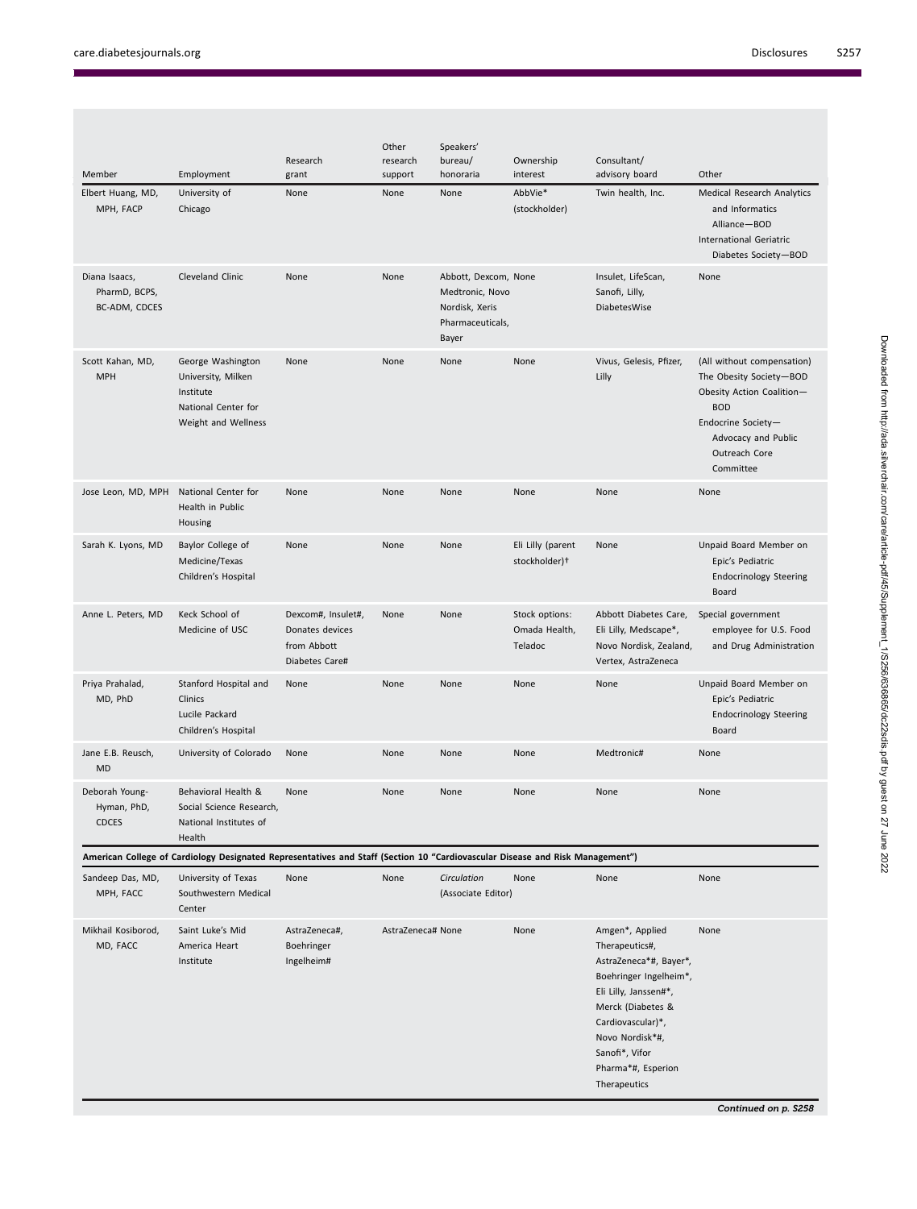| Member                                                                                                                        | Employment                                                                                         | Research<br>grant                                                      | Other<br>research<br>support | Speakers'<br>bureau/<br>honoraria                                                      | Ownership<br>interest                      | Consultant/<br>advisory board                                                                                                                                                                                                       | Other                                                                                                                                                                       |  |
|-------------------------------------------------------------------------------------------------------------------------------|----------------------------------------------------------------------------------------------------|------------------------------------------------------------------------|------------------------------|----------------------------------------------------------------------------------------|--------------------------------------------|-------------------------------------------------------------------------------------------------------------------------------------------------------------------------------------------------------------------------------------|-----------------------------------------------------------------------------------------------------------------------------------------------------------------------------|--|
| Elbert Huang, MD,<br>MPH, FACP                                                                                                | University of<br>Chicago                                                                           | None                                                                   | None                         | None                                                                                   | AbbVie*<br>(stockholder)                   | Twin health, Inc.                                                                                                                                                                                                                   | Medical Research Analytics<br>and Informatics<br>Alliance-BOD<br>International Geriatric<br>Diabetes Society-BOD                                                            |  |
| Diana Isaacs,<br>PharmD, BCPS,<br>BC-ADM, CDCES                                                                               | Cleveland Clinic                                                                                   | None                                                                   | None                         | Abbott, Dexcom, None<br>Medtronic, Novo<br>Nordisk, Xeris<br>Pharmaceuticals,<br>Bayer |                                            | Insulet, LifeScan,<br>Sanofi, Lilly,<br><b>DiabetesWise</b>                                                                                                                                                                         | None                                                                                                                                                                        |  |
| Scott Kahan, MD,<br><b>MPH</b>                                                                                                | George Washington<br>University, Milken<br>Institute<br>National Center for<br>Weight and Wellness | None                                                                   | None                         | None                                                                                   | None                                       | Vivus, Gelesis, Pfizer,<br>Lilly                                                                                                                                                                                                    | (All without compensation)<br>The Obesity Society-BOD<br>Obesity Action Coalition-<br><b>BOD</b><br>Endocrine Society-<br>Advocacy and Public<br>Outreach Core<br>Committee |  |
| Jose Leon, MD, MPH                                                                                                            | National Center for<br>Health in Public<br>Housing                                                 | None                                                                   | None                         | None                                                                                   | None                                       | None                                                                                                                                                                                                                                | None                                                                                                                                                                        |  |
| Sarah K. Lyons, MD                                                                                                            | Baylor College of<br>Medicine/Texas<br>Children's Hospital                                         | None                                                                   | None                         | None                                                                                   | Eli Lilly (parent<br>stockholder)+         | None                                                                                                                                                                                                                                | Unpaid Board Member on<br>Epic's Pediatric<br><b>Endocrinology Steering</b><br>Board                                                                                        |  |
| Anne L. Peters, MD                                                                                                            | Keck School of<br>Medicine of USC                                                                  | Dexcom#, Insulet#,<br>Donates devices<br>from Abbott<br>Diabetes Care# | None                         | None                                                                                   | Stock options:<br>Omada Health,<br>Teladoc | Abbott Diabetes Care,<br>Eli Lilly, Medscape*,<br>Novo Nordisk, Zealand,<br>Vertex, AstraZeneca                                                                                                                                     | Special government<br>employee for U.S. Food<br>and Drug Administration                                                                                                     |  |
| Priya Prahalad,<br>MD, PhD                                                                                                    | Stanford Hospital and<br>Clinics<br>Lucile Packard<br>Children's Hospital                          | None                                                                   | None                         | None                                                                                   | None                                       | None                                                                                                                                                                                                                                | Unpaid Board Member on<br>Epic's Pediatric<br><b>Endocrinology Steering</b><br>Board                                                                                        |  |
| Jane E.B. Reusch,<br><b>MD</b>                                                                                                | University of Colorado                                                                             | None                                                                   | None                         | None                                                                                   | None                                       | Medtronic#                                                                                                                                                                                                                          | None                                                                                                                                                                        |  |
| Deborah Young-<br>Hyman, PhD,<br><b>CDCES</b>                                                                                 | Behavioral Health &<br>Social Science Research,<br>National Institutes of<br>Health                | None                                                                   | None                         | None                                                                                   | None                                       | None                                                                                                                                                                                                                                | None                                                                                                                                                                        |  |
| American College of Cardiology Designated Representatives and Staff (Section 10 "Cardiovascular Disease and Risk Management") |                                                                                                    |                                                                        |                              |                                                                                        |                                            |                                                                                                                                                                                                                                     |                                                                                                                                                                             |  |
| Sandeep Das, MD,<br>MPH, FACC                                                                                                 | University of Texas<br>Southwestern Medical<br>Center                                              | None                                                                   | None                         | Circulation<br>(Associate Editor)                                                      | None                                       | None                                                                                                                                                                                                                                | None                                                                                                                                                                        |  |
| Mikhail Kosiborod,<br>MD, FACC                                                                                                | Saint Luke's Mid<br>America Heart<br>Institute                                                     | AstraZeneca#,<br>Boehringer<br>Ingelheim#                              | AstraZeneca# None            |                                                                                        | None                                       | Amgen*, Applied<br>Therapeutics#,<br>AstraZeneca*#, Bayer*,<br>Boehringer Ingelheim*,<br>Eli Lilly, Janssen#*,<br>Merck (Diabetes &<br>Cardiovascular)*,<br>Novo Nordisk*#,<br>Sanofi*, Vifor<br>Pharma*#, Esperion<br>Therapeutics | None<br>Continued on p. S258                                                                                                                                                |  |